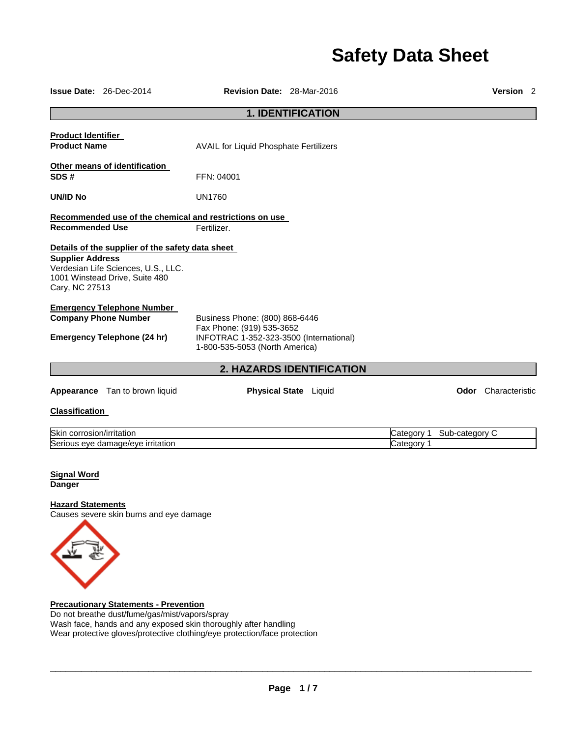# **Safety Data Sheet**

|                                                  | <b>Issue Date: 26-Dec-2014</b>                                                                                            | <b>Revision Date: 28-Mar-2016</b>                                                                                                        |                       |                          |                | <b>Version</b> 2           |  |  |
|--------------------------------------------------|---------------------------------------------------------------------------------------------------------------------------|------------------------------------------------------------------------------------------------------------------------------------------|-----------------------|--------------------------|----------------|----------------------------|--|--|
| <b>1. IDENTIFICATION</b>                         |                                                                                                                           |                                                                                                                                          |                       |                          |                |                            |  |  |
| <b>Product Identifier</b><br><b>Product Name</b> |                                                                                                                           | AVAIL for Liquid Phosphate Fertilizers                                                                                                   |                       |                          |                |                            |  |  |
| SDS#                                             | Other means of identification                                                                                             | FFN: 04001                                                                                                                               |                       |                          |                |                            |  |  |
| <b>UN/ID No</b>                                  |                                                                                                                           | <b>UN1760</b>                                                                                                                            |                       |                          |                |                            |  |  |
| <b>Recommended Use</b>                           |                                                                                                                           | Recommended use of the chemical and restrictions on use<br>Fertilizer.                                                                   |                       |                          |                |                            |  |  |
| <b>Supplier Address</b><br>Cary, NC 27513        | Details of the supplier of the safety data sheet<br>Verdesian Life Sciences, U.S., LLC.<br>1001 Winstead Drive, Suite 480 |                                                                                                                                          |                       |                          |                |                            |  |  |
|                                                  | <b>Emergency Telephone Number</b><br><b>Company Phone Number</b><br><b>Emergency Telephone (24 hr)</b>                    | Business Phone: (800) 868-6446<br>Fax Phone: (919) 535-3652<br>INFOTRAC 1-352-323-3500 (International)<br>1-800-535-5053 (North America) |                       |                          |                |                            |  |  |
| 2. HAZARDS IDENTIFICATION                        |                                                                                                                           |                                                                                                                                          |                       |                          |                |                            |  |  |
|                                                  | <b>Appearance</b> Tan to brown liquid                                                                                     |                                                                                                                                          | Physical State Liquid |                          |                | <b>Odor</b> Characteristic |  |  |
| <b>Classification</b>                            |                                                                                                                           |                                                                                                                                          |                       |                          |                |                            |  |  |
| Skin corrosion/irritation                        | Serious eye damage/eye irritation                                                                                         |                                                                                                                                          |                       | Category 1<br>Category 1 | Sub-category C |                            |  |  |
| Cianol <i>Mord</i>                               |                                                                                                                           |                                                                                                                                          |                       |                          |                |                            |  |  |

**Signal Word Danger** 

## **Hazard Statements**

Causes severe skin burns and eye damage



**Precautionary Statements - Prevention** Do not breathe dust/fume/gas/mist/vapors/spray Wash face, hands and any exposed skin thoroughly after handling Wear protective gloves/protective clothing/eye protection/face protection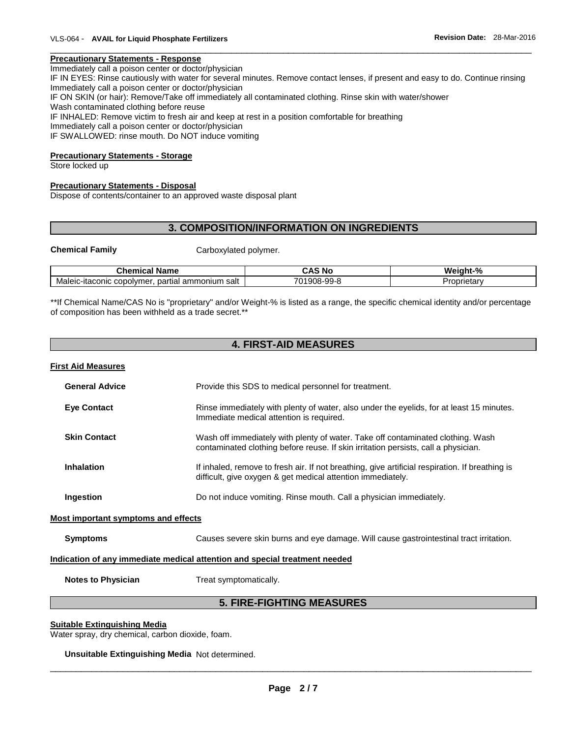#### **Precautionary Statements - Response**

Immediately call a poison center or doctor/physician

IF IN EYES: Rinse cautiously with water for several minutes. Remove contact lenses, if present and easy to do. Continue rinsing Immediately call a poison center or doctor/physician

\_\_\_\_\_\_\_\_\_\_\_\_\_\_\_\_\_\_\_\_\_\_\_\_\_\_\_\_\_\_\_\_\_\_\_\_\_\_\_\_\_\_\_\_\_\_\_\_\_\_\_\_\_\_\_\_\_\_\_\_\_\_\_\_\_\_\_\_\_\_\_\_\_\_\_\_\_\_\_\_\_\_\_\_\_\_\_\_\_\_\_\_\_

IF ON SKIN (or hair): Remove/Take off immediately all contaminated clothing. Rinse skin with water/shower

Wash contaminated clothing before reuse

IF INHALED: Remove victim to fresh air and keep at rest in a position comfortable for breathing

Immediately call a poison center or doctor/physician

IF SWALLOWED: rinse mouth. Do NOT induce vomiting

### **Precautionary Statements - Storage**

Store locked up

## **Precautionary Statements - Disposal**

Dispose of contents/container to an approved waste disposal plant

# **3. COMPOSITION/INFORMATION ON INGREDIENTS**

**Chemical Family Carboxylated polymer.** 

| $\sim$<br>$  -$<br>- ---<br>NS<br>Cne<br>Ш<br>vame                                | N0<br>--                     | - 07<br>w.<br>- -- - -<br>70 |
|-----------------------------------------------------------------------------------|------------------------------|------------------------------|
| Maleid<br>partial<br>salt<br>:-itaconic<br>mer.<br>moniun<br><b>CODOIVI</b><br>αľ | _aa.<br>Jŏ-<br>v<br>ິ<br>. . | <br>oprietary.               |

\*\*If Chemical Name/CAS No is "proprietary" and/or Weight-% is listed as a range, the specific chemical identity and/or percentage of composition has been withheld as a trade secret.\*\*

# **4. FIRST-AID MEASURES**

| <b>First Aid Measures</b>           |                                                                                                                                                                       |
|-------------------------------------|-----------------------------------------------------------------------------------------------------------------------------------------------------------------------|
| <b>General Advice</b>               | Provide this SDS to medical personnel for treatment.                                                                                                                  |
| <b>Eye Contact</b>                  | Rinse immediately with plenty of water, also under the eyelids, for at least 15 minutes.<br>Immediate medical attention is required.                                  |
| <b>Skin Contact</b>                 | Wash off immediately with plenty of water. Take off contaminated clothing. Wash<br>contaminated clothing before reuse. If skin irritation persists, call a physician. |
| <b>Inhalation</b>                   | If inhaled, remove to fresh air. If not breathing, give artificial respiration. If breathing is<br>difficult, give oxygen & get medical attention immediately.        |
| Ingestion                           | Do not induce vomiting. Rinse mouth. Call a physician immediately.                                                                                                    |
| Most important symptoms and effects |                                                                                                                                                                       |
| <b>Symptoms</b>                     | Causes severe skin burns and eye damage. Will cause gastrointestinal tract irritation.                                                                                |
|                                     | Indication of any immediate medical attention and special treatment needed                                                                                            |
| <b>Notes to Physician</b>           | Treat symptomatically.                                                                                                                                                |

# **5. FIRE-FIGHTING MEASURES**

#### **Suitable Extinguishing Media**

Water spray, dry chemical, carbon dioxide, foam.

**Unsuitable Extinguishing Media** Not determined.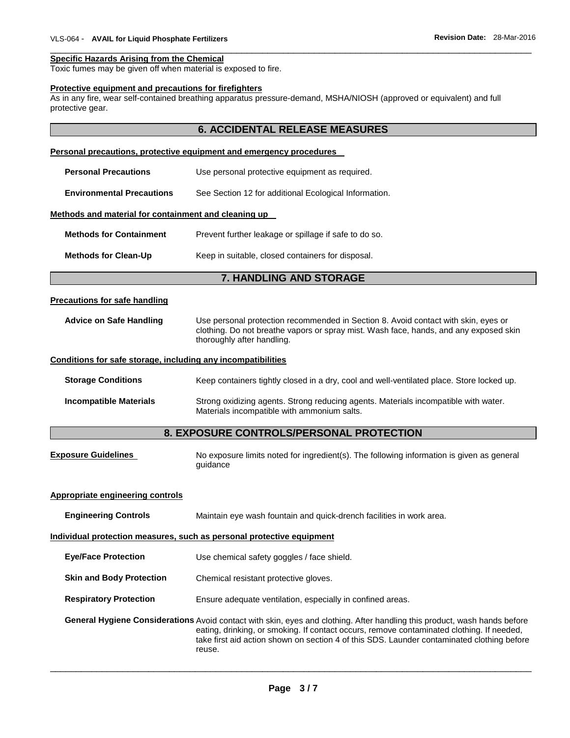#### \_\_\_\_\_\_\_\_\_\_\_\_\_\_\_\_\_\_\_\_\_\_\_\_\_\_\_\_\_\_\_\_\_\_\_\_\_\_\_\_\_\_\_\_\_\_\_\_\_\_\_\_\_\_\_\_\_\_\_\_\_\_\_\_\_\_\_\_\_\_\_\_\_\_\_\_\_\_\_\_\_\_\_\_\_\_\_\_\_\_\_\_\_ **Specific Hazards Arising from the Chemical**

Toxic fumes may be given off when material is exposed to fire.

#### **Protective equipment and precautions for firefighters**

As in any fire, wear self-contained breathing apparatus pressure-demand, MSHA/NIOSH (approved or equivalent) and full protective gear.

|                                                                       | <b>6. ACCIDENTAL RELEASE MEASURES</b>                                                                                                                                                                     |  |  |  |  |  |
|-----------------------------------------------------------------------|-----------------------------------------------------------------------------------------------------------------------------------------------------------------------------------------------------------|--|--|--|--|--|
|                                                                       | Personal precautions, protective equipment and emergency procedures                                                                                                                                       |  |  |  |  |  |
| <b>Personal Precautions</b>                                           | Use personal protective equipment as required.                                                                                                                                                            |  |  |  |  |  |
| <b>Environmental Precautions</b>                                      | See Section 12 for additional Ecological Information.                                                                                                                                                     |  |  |  |  |  |
| Methods and material for containment and cleaning up                  |                                                                                                                                                                                                           |  |  |  |  |  |
| <b>Methods for Containment</b>                                        | Prevent further leakage or spillage if safe to do so.                                                                                                                                                     |  |  |  |  |  |
| <b>Methods for Clean-Up</b>                                           | Keep in suitable, closed containers for disposal.                                                                                                                                                         |  |  |  |  |  |
|                                                                       | 7. HANDLING AND STORAGE                                                                                                                                                                                   |  |  |  |  |  |
|                                                                       |                                                                                                                                                                                                           |  |  |  |  |  |
| <b>Precautions for safe handling</b>                                  |                                                                                                                                                                                                           |  |  |  |  |  |
| <b>Advice on Safe Handling</b>                                        | Use personal protection recommended in Section 8. Avoid contact with skin, eyes or<br>clothing. Do not breathe vapors or spray mist. Wash face, hands, and any exposed skin<br>thoroughly after handling. |  |  |  |  |  |
| Conditions for safe storage, including any incompatibilities          |                                                                                                                                                                                                           |  |  |  |  |  |
| <b>Storage Conditions</b>                                             | Keep containers tightly closed in a dry, cool and well-ventilated place. Store locked up.                                                                                                                 |  |  |  |  |  |
| <b>Incompatible Materials</b>                                         | Strong oxidizing agents. Strong reducing agents. Materials incompatible with water.<br>Materials incompatible with ammonium salts.                                                                        |  |  |  |  |  |
|                                                                       | 8. EXPOSURE CONTROLS/PERSONAL PROTECTION                                                                                                                                                                  |  |  |  |  |  |
| <b>Exposure Guidelines</b>                                            | No exposure limits noted for ingredient(s). The following information is given as general<br>guidance                                                                                                     |  |  |  |  |  |
| <b>Appropriate engineering controls</b>                               |                                                                                                                                                                                                           |  |  |  |  |  |
| <b>Engineering Controls</b>                                           | Maintain eye wash fountain and quick-drench facilities in work area.                                                                                                                                      |  |  |  |  |  |
| Individual protection measures, such as personal protective equipment |                                                                                                                                                                                                           |  |  |  |  |  |

## **Page 3 / 7**

\_\_\_\_\_\_\_\_\_\_\_\_\_\_\_\_\_\_\_\_\_\_\_\_\_\_\_\_\_\_\_\_\_\_\_\_\_\_\_\_\_\_\_\_\_\_\_\_\_\_\_\_\_\_\_\_\_\_\_\_\_\_\_\_\_\_\_\_\_\_\_\_\_\_\_\_\_\_\_\_\_\_\_\_\_\_\_\_\_\_\_\_\_

**General Hygiene Considerations** Avoid contact with skin, eyes and clothing. After handling this product, wash hands before

eating, drinking, or smoking. If contact occurs, remove contaminated clothing. If needed, take first aid action shown on section 4 of this SDS. Launder contaminated clothing before

**Eye/Face Protection** Use chemical safety goggles / face shield.

reuse.

**Respiratory Protection Ensure adequate ventilation, especially in confined areas.** 

**Skin and Body Protection** Chemical resistant protective gloves.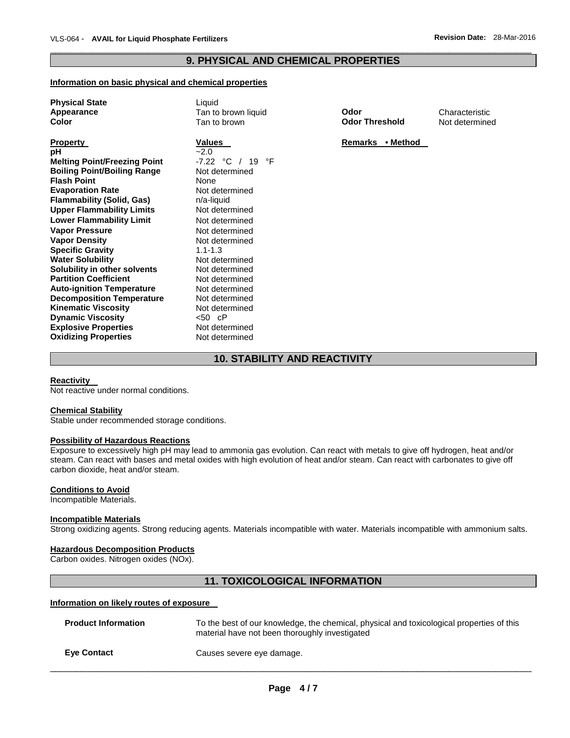## \_\_\_\_\_\_\_\_\_\_\_\_\_\_\_\_\_\_\_\_\_\_\_\_\_\_\_\_\_\_\_\_\_\_\_\_\_\_\_\_\_\_\_\_\_\_\_\_\_\_\_\_\_\_\_\_\_\_\_\_\_\_\_\_\_\_\_\_\_\_\_\_\_\_\_\_\_\_\_\_\_\_\_\_\_\_\_\_\_\_\_\_\_ **9. PHYSICAL AND CHEMICAL PROPERTIES**

## **Information on basic physical and chemical properties**

| <b>Physical State</b>               | Liquid              |                       |                |
|-------------------------------------|---------------------|-----------------------|----------------|
| Appearance                          | Tan to brown liquid | Odor                  | Characteristic |
| Color                               | Tan to brown        | <b>Odor Threshold</b> | Not determined |
| <b>Property</b>                     | <b>Values</b>       | Remarks • Method      |                |
| рH                                  | $-2.0$              |                       |                |
| <b>Melting Point/Freezing Point</b> | -7.22 °C / 19<br>°F |                       |                |
| <b>Boiling Point/Boiling Range</b>  | Not determined      |                       |                |
| <b>Flash Point</b>                  | None                |                       |                |
| <b>Evaporation Rate</b>             | Not determined      |                       |                |
| <b>Flammability (Solid, Gas)</b>    | n/a-liquid          |                       |                |
| <b>Upper Flammability Limits</b>    | Not determined      |                       |                |
| <b>Lower Flammability Limit</b>     | Not determined      |                       |                |
| <b>Vapor Pressure</b>               | Not determined      |                       |                |
| <b>Vapor Density</b>                | Not determined      |                       |                |
| <b>Specific Gravity</b>             | $1.1 - 1.3$         |                       |                |
| <b>Water Solubility</b>             | Not determined      |                       |                |
| Solubility in other solvents        | Not determined      |                       |                |
| <b>Partition Coefficient</b>        | Not determined      |                       |                |
| <b>Auto-ignition Temperature</b>    | Not determined      |                       |                |
| <b>Decomposition Temperature</b>    | Not determined      |                       |                |
| <b>Kinematic Viscosity</b>          | Not determined      |                       |                |
| <b>Dynamic Viscosity</b>            |                     |                       |                |
| <b>Explosive Properties</b>         | Not determined      |                       |                |
| <b>Oxidizing Properties</b>         | Not determined      |                       |                |
|                                     |                     |                       |                |

# **10. STABILITY AND REACTIVITY**

#### **Reactivity**

Not reactive under normal conditions.

#### **Chemical Stability**

Stable under recommended storage conditions.

#### **Possibility of Hazardous Reactions**

Exposure to excessively high pH may lead to ammonia gas evolution. Can react with metals to give off hydrogen, heat and/or steam. Can react with bases and metal oxides with high evolution of heat and/or steam. Can react with carbonates to give off carbon dioxide, heat and/or steam.

### **Conditions to Avoid**

Incompatible Materials.

#### **Incompatible Materials**

Strong oxidizing agents. Strong reducing agents. Materials incompatible with water. Materials incompatible with ammonium salts.

## **Hazardous Decomposition Products**

Carbon oxides. Nitrogen oxides (NOx).

# **11. TOXICOLOGICAL INFORMATION**

#### **Information on likely routes of exposure**

| <b>Product Information</b> | To the best of our knowledge, the chemical, physical and toxicological properties of this<br>material have not been thoroughly investigated |
|----------------------------|---------------------------------------------------------------------------------------------------------------------------------------------|
| <b>Eve Contact</b>         | Causes severe eye damage.                                                                                                                   |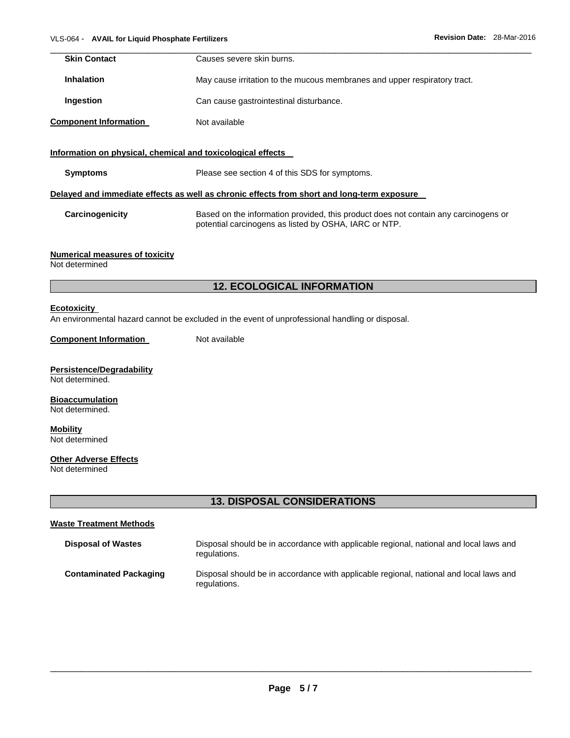| <b>Skin Contact</b>                                         | Causes severe skin burns.                                                                  |
|-------------------------------------------------------------|--------------------------------------------------------------------------------------------|
| <b>Inhalation</b>                                           | May cause irritation to the mucous membranes and upper respiratory tract.                  |
| Ingestion                                                   | Can cause gastrointestinal disturbance.                                                    |
| <b>Component Information</b>                                | Not available                                                                              |
| Information on physical, chemical and toxicological effects |                                                                                            |
| <b>Symptoms</b>                                             | Please see section 4 of this SDS for symptoms.                                             |
|                                                             | Delayed and immediate effects as well as chronic effects from short and long-term exposure |
| Carcinogenicity                                             | Based on the information provided, this product does not contain any carcinogens or        |

## **Numerical measures of toxicity**

Not determined

# **12. ECOLOGICAL INFORMATION**

potential carcinogens as listed by OSHA, IARC or NTP.

## **Ecotoxicity**

An environmental hazard cannot be excluded in the event of unprofessional handling or disposal.

#### **Component Information** Not available

# **Persistence/Degradability**

Not determined.

#### **Bioaccumulation** Not determined.

**Mobility** Not determined

## **Other Adverse Effects**

Not determined

# **13. DISPOSAL CONSIDERATIONS**

# **Waste Treatment Methods**

| <b>Disposal of Wastes</b>     | Disposal should be in accordance with applicable regional, national and local laws and<br>regulations. |
|-------------------------------|--------------------------------------------------------------------------------------------------------|
| <b>Contaminated Packaging</b> | Disposal should be in accordance with applicable regional, national and local laws and<br>regulations. |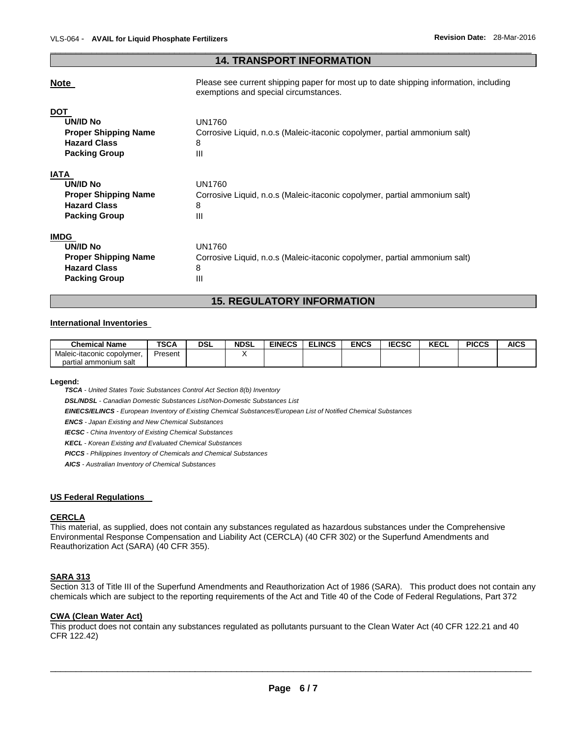## \_\_\_\_\_\_\_\_\_\_\_\_\_\_\_\_\_\_\_\_\_\_\_\_\_\_\_\_\_\_\_\_\_\_\_\_\_\_\_\_\_\_\_\_\_\_\_\_\_\_\_\_\_\_\_\_\_\_\_\_\_\_\_\_\_\_\_\_\_\_\_\_\_\_\_\_\_\_\_\_\_\_\_\_\_\_\_\_\_\_\_\_\_ **14. TRANSPORT INFORMATION**

# **Note Please see current shipping paper for most up to date shipping information, including** exemptions and special circumstances. **DOT UN/ID No** UN1760 **Proper Shipping Name** Corrosive Liquid, n.o.s (Maleic-itaconic copolymer, partial ammonium salt) **Hazard Class** 8 **Packing Group 111 IATA UN/ID No** UN1760 **Proper Shipping Name** Corrosive Liquid, n.o.s (Maleic-itaconic copolymer, partial ammonium salt) **Hazard Class** 8 **Packing Group 111 IMDG UN/ID No** UN1760 **Proper Shipping Name** Corrosive Liquid, n.o.s (Maleic-itaconic copolymer, partial ammonium salt) **Hazard Class** 8 **Packing Group 111**

## **15. REGULATORY INFORMATION**

# **International Inventories**

| <b>Chemical Name</b>       | <b>TSCA</b> | DSL | <b>NDSL</b> | <b>EINECS</b> | <b>ELINCS</b> | <b>ENCS</b> | <b>IECSC</b> | 55 <sub>2</sub><br>NEVL | <b>PICCS</b> | <b>AICS</b> |
|----------------------------|-------------|-----|-------------|---------------|---------------|-------------|--------------|-------------------------|--------------|-------------|
| Maleic-itaconic copolymer, | Present     |     |             |               |               |             |              |                         |              |             |
| partial ammonium salt      |             |     |             |               |               |             |              |                         |              |             |

#### **Legend:**

*TSCA - United States Toxic Substances Control Act Section 8(b) Inventory* 

*DSL/NDSL - Canadian Domestic Substances List/Non-Domestic Substances List* 

*EINECS/ELINCS - European Inventory of Existing Chemical Substances/European List of Notified Chemical Substances* 

*ENCS - Japan Existing and New Chemical Substances* 

*IECSC - China Inventory of Existing Chemical Substances* 

*KECL - Korean Existing and Evaluated Chemical Substances* 

*PICCS - Philippines Inventory of Chemicals and Chemical Substances* 

*AICS - Australian Inventory of Chemical Substances* 

## **US Federal Regulations**

## **CERCLA**

This material, as supplied, does not contain any substances regulated as hazardous substances under the Comprehensive Environmental Response Compensation and Liability Act (CERCLA) (40 CFR 302) or the Superfund Amendments and Reauthorization Act (SARA) (40 CFR 355).

### **SARA 313**

Section 313 of Title III of the Superfund Amendments and Reauthorization Act of 1986 (SARA). This product does not contain any chemicals which are subject to the reporting requirements of the Act and Title 40 of the Code of Federal Regulations, Part 372

#### **CWA (Clean Water Act)**

This product does not contain any substances regulated as pollutants pursuant to the Clean Water Act (40 CFR 122.21 and 40 CFR 122.42)